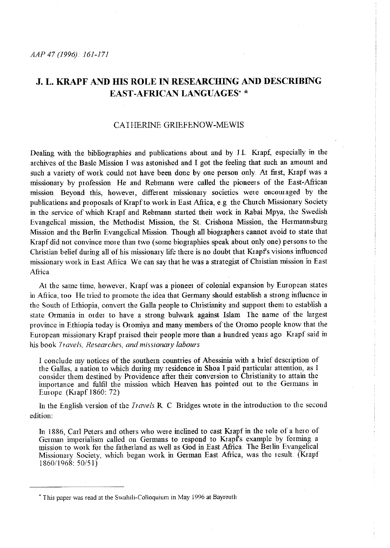# **J. L. KRAPF AND IDS ROLE IN RESEARCHING AND DESCRIBING EAST -AFRICAN LANGUAGES·** \*

## CAIHERINE GRIEFENOW-MEWIS

Dealing with the bibliographies and publications about and by J L Kiapf, especially in the archives of the Basle Mission I was astonished and I got the feeling that such an amount and such a variety of work could not have been done by one person only. At first, Krapf was a missionary by profession He and Rebmann were called the pioneers of the East-Afiican mission. Beyond this, however, different missionary societies were encomaged by the publications and proposals of Krapf to work in East Africa, e.g the Church Missionary Society in the service of which Krapf and Rebmann started their work in Rabai Mpya, the Swedish Evangelical mission, the Methodist Mission, the St. Crishona Mission, the Hermannsburg Mission and the Berlin Evangelical Mission. Though all biographers cannot avoid to state that Krapf did not convince more than two (some biographies speak about only one) persons to the Christian belief during all of his missionary life there is no doubt that Krapf's visions influenced missionary w01k in East Africa We can say that he was a strategist of Christian mission in East Africa

At the same time, however, Kiapfwas a pioneer of colonial expansion by Emopean states in Africa, too He tried to promote the idea that Germany should establish a strong influence in the South of Ethiopia, convert the Galla people to Christianity and support them to establish a state Ormania in 01 der to have a strong bulwark against Islam The name of the largest province in Ethiopia today is Oromiya and many members of the Oromo people know that the European missionary Kiapf praised their people more than a hundred years ago Kiapf said in his book *Travels, Researches, and missionary labours* 

I conclude my notices of the southern countries of Abessinia with a brief description of the Gallas, a nation to which during my residence in Shoa I paid particular attention, as I consider them destined by Providence after their conversion to Christianity to attain the importance and fulfil the mission which Heaven has pointed out to the Germans in Em ope. (Kiapf 1860: 72)

In the English version of the *!ravels* R C Bridges wrote in the introduction to the second edition:

In 1886, Carl Peters and others who were inclined to cast Krapf in the role of a hero of German inrperialism called on Germans to respond to Kiapfs example by forming a mission to work for the fatherland as well as God in East Africa. The Berlin Evangelical Missionary Society, which began work in German East Africa, was the result (Krapf 1860/] 968: 50/51)

<sup>•</sup> This paper was read at the Swahili-Colloquium in May !996 at Bayreuth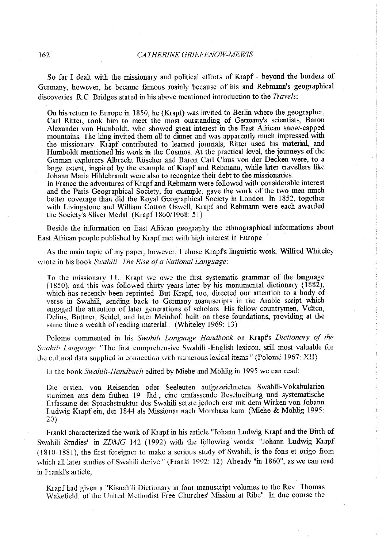So far I dealt with the missionary and political efforts of Krapf - beyond the borders of Germany, however, he became famous mainly because of his and Rebmann's geographical discoveries RC Bridges stated in his above mentioned introduction to the *Travels:* 

On his return to Europe in 1850, he (Krapf) was invited to Berlin where the geographer, Carl Ritter, took him to meet the most outstanding of Germany's scientists, Baron Alexander von Humboldt, who showed great interest in the East Afiican snow-capped mountains. The king invited them all to dinner and was apparently much impressed with the missionary. Krapf contributed to learned journals, Ritter used his material, and Humboldt mentioned his work in the Cosmos. At the practical level, the journeys of the German explorers Albrecht Röscher and Baron Carl Claus von der Decken were, to a large extent, inspired by the example of Krapf and Rebmann, while later travellers like Johann Maria Hildebrandt were also to recognize their debt to the missionaries In France the adventures of Krapf and Rebmann were followed with considerable interest and the Paris Geographical Society, for example, gave the work of the two men much better coverage than did the Royal Geographical Society in London In 1852, together with Livingstone and William Cotton Oswell, Krapf and Rebmann were each awarded the Society's Silver Medal. (Krapf 1860/1968: 51)

Beside the information on East African geography the ethnographical informations about East Afiican people published by Krapfmet with high interest in Europe.

As the main topic of my paper, however, I chose Krapfs linguistic work Wilfred Whiteley wtote in his book *Swahzlz The Rise oja National Language:* 

To the missionary J.L. Krapf we owe the first systematic grammar of the language (1850), and this was followed thirty years later by his monumental dictionary (1882), which has recently been reprinted But Krapf, too, directed our attention to a body of verse in Swahili, sending back to Germany manuscripts in the Arabic script which engaged the attention of later generations of scholars. His fellow countrymen, Velten, Delius, Biittner, Seidel, and later Meinhof, built on these foundations, providing at the same time a wealth of reading material. (Whiteley 1969: 13)

Polome commented in his *Swahilz Language Handbook* on Krapfs *Dictionary of the Swahih Language:* "The first comprehensive Swahili -English lexicon, still most valuable for the cultural data supplied in connection with numerous lexical items " (Polomé 1967: XII)

In the book Swahili-Handbuch edited by Miehe and Möhlig in 1995 we can read:

Die er sten, von Reisenden oder Seeleuten aufgezeichneten Swahili-Vokabularien stammen aus dem frtihen 19 Jhd, eine umfassende Beschreibung und systematische Erfassung der Sprachstruktur des Swahili setzte jedoch erst mit dem Wirken von Johann Ludwig Krapf ein, der 1844 als Missionar nach Mombasa kam (Miehe & Möhlig 1995: 20)

Frankl characterized the work of Krapf in his article "Johann Ludwig Krapf and the Birth of Swahili Studies" in *ZDMG* 142 (1992) with the following words: "Johann Ludwig Krapf ( 1810-1881 ), the first foreigner to make a serious study of Swahili, is the fons et origo from which all later studies of Swahili derive " (Frankl 1992: 12). Already "in 1860", as we can read in Frankl's article,

Krapf had given a "Kisuahili Dictionary in four manuscript volumes to the Rev. Thomas Wakefield. of the United Methodist Free Churches' Mission at Ribe" In due course the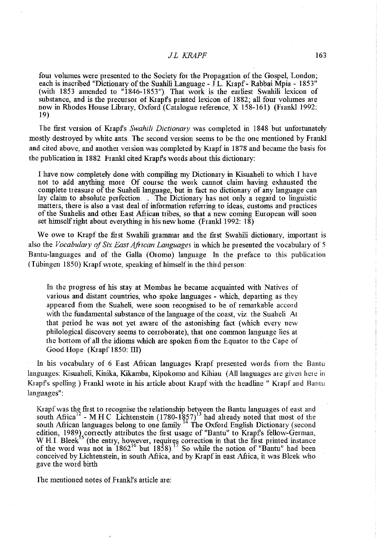### *JL KRAPF* 163

fom volumes were presented to the Society for the Propagation of the Gospel, London; each is inscribed "Dictionary of the Suahili Language -  $\[\hat{L}\]$  Krapf - Rabbai Mpia - 1853" (with 1853 amended to "1846-1853"}. That work is the earliest Swahili lexicon of substance, and is the precursor of Krapf's printed lexicon of 1882; all four volumes are now in Rhodes House Library, Oxford (Catalogue reference, X 158-161). (Frankl 1992: 19)

The fust version of Krapfs *Swahili Dictionary* was completed in 1848 but unfortunately mostly destroyed by white ants. The second version seems to be the one mentioned by Frankl and cited above, and another version was completed by Krapf in 1878 and became the basis for the publication in 1882 Frankl cited Krapfs words about this dictionary:

I have now completely done with compiling my Dictionary in Kisuaheli to which I have not to add anything more Of comse the work cannot claim having exhausted the complete treasure of the Suaheli language, but in fact no dictionary of any language can lay claim to absolute perfection... The Dictionary has not only a regard to linguistic matters, there is also a vast deal of information referring to ideas, customs and practices of the Suahelis and other East Afiican tribes, so that a new coming Emopean will soon set himself right about everything in his new home (Frankl 1992: 18)

We owe to Krapf the first Swahili grammar and the first Swahili dictionary, important is also the *Vocabulary of Six East Aftican Languages* in which he presented the vocabulary of 5 Bantu-languages and of the Galla (Oromo) language. In the preface to this publication (Tübingen 1850) Krapf wrote, speaking of himself in the third person:

In the progress of his stay at Mombas he became acquainted with Natives of various and distant countries, who spoke languages - which, departing as they appeared from the Suaheli, were soon recognised to be of remarkable accord with the fundamental substance of the language of the coast, viz the Suaheli At that period he was not yet aware of the astonishing fact (which every new philological discovery seems to corroborate), that one common language lies at the bottom of all the idioms which are spoken fiom the Equator to the Cape of Good Hope (Krapf 1850: III)

In his vocabulary of 6 East Afiican languages Krapf presented words fiom the Bantu languages: Kisuaheli, Kinika, Kikamba, Kipokomo and Kihiau (All languages are given here in Krapfs spelling) Frankl wrote in his article about Krapf with the headline " Krapf and Bantu languages":

Krapf was the first to recognise the relationship between the Bantu languages of east and south Africa<sup>12</sup> - MHC Lichtenstein  $(1780-1857)^{13}$  had already noted that most of the south African languages belong to one family.<sup>14</sup> The Oxford English Dictionary (second edition, 1989} correctly attributes the first usage of "Bantu" to Krapfs fellow-German, W H<sub>J</sub>. Bleek<sup>15</sup> (the entry, however, requires correction in that the first printed instance of the word was not in  $1862^{16}$  but  $1858$ ).<sup>17</sup> So while the notion of "Bantu" had been conceived by Lichtenstein, in south Afiica, and by Krapf in east Afiica, it was Bleek who gave the word birth

The mentioned notes of Frankl's article are: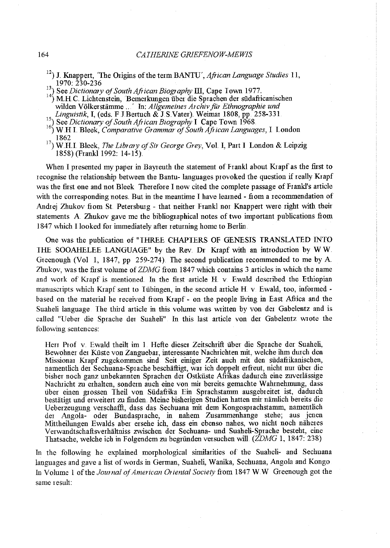- 12 ) J. Knappert, 'The Origins of the term BANTU', *African Language Studies* 11, 1970: 230-236
- <sup>13</sup>) See *Dictionary of South African Biography III*, Cape Town 1977.
- <sup>14</sup>) M.H.C. Lichtenstein, Bemerkungen über die Sprachen der südafricanischen wilden Völkerstämme ...' In: *Allgemeines Archiv für Ethnographie und Linguistik*, I, (eds. F J Bertuch & J S Vater). Weimar 1808, pp.  $258-331$ .
- <sup>15</sup> See *Dictionary of South African Biography* I Cape Town 1968.
- <sup>16</sup>) W.H.I. Bleek, *Comparative Grammar of South African Languages*, I. London 1862
- <sup>17</sup>) W.H.I. Bleek, *The Library of Sir George Grey*, Vol. I, Part I London & Leipzig 1858) (Frank11992: 14-15).

When I presented my paper in Bayreuth the statement of Frankl about Krapf as the first to recognise the relationship between the Bantu- languages provoked the question if really Krapf was the fust one and not Bleek Therefore I now cited the complete passage of Frankl's article with the corresponding notes. But in the meantime I have learned - from a recommendation of Andrej Zhukov from St. Petersburg - that neither Frankl nor Knappert were right with their statements A Zhukov gave me the bibliographical notes of two important publications from 1847 which I looked for immediately after retmning home to Berlin.

One was the publication of "THREE CHAPTERS OF GENESIS TRANSLATED INTO IHE SOOAHELEE LANGUAGE" by the Rev. Dr Krapf with an introduction by W W Greenough (Vol 1, 1847, pp 259-274). The second publication recommended to me by A Zhukov, was the first volume of *ZDMG* from 1847 which contains 3 articles in which the name and work of Krapf is mentioned. In the first article  $H \vee$  Ewald described the Ethiopian manuscripts which Krapf sent to Tübingen, in the second article H v. Ewald, too, informed based on the material he received from Krapf- on the people living in East Africa and the Suaheli language Ihe third article in this volume was written by von der Gabelentz and is called "Ueber die Sprache der Suaheli" In this last article von der Gabelentz wrote the following sentences:

Hen Prof v. Ewald theilt im 1. Hefte dieser Zeitschrift über die Sprache der Suaheli, Bewohner der Küste von Zanguebar, interessante Nachrichten mit, welche ihm durch den Missionar Krapf zugekommen sind Seit einiger Zeit auch mit den siidafrikanischen, namentlich der Sechuana-Sprache beschiiftigt, war ich doppelt erfreut, nicht nur iiber die bisher noch ganz unbekannten Sprachen der Ostkiiste Afiikas dadurch eine zuverlassige Nachticht zu erhalten, sondem auch eine von mii bereits gemachte Wahtnehmung, dass über einen grossen Theil von Südafrika Ein Sprachstamm ausgebreitet ist, dadurch bestätigt und erweitert zu finden. Meine bisherigen Studien hatten mir nämlich bereits die Ueberzeugung verschaffi, dass das Sechuana mit dem Kongosprachstamm, namentlich der Angola- oder Bundasprache, in nahem Zusammenhange stehe; aus jenen Mittheilungen Ewalds aber ersehe ich, dass ein ebenso nahes, wo nicht noch näheres Verwandtschaftsverhiiltniss zwischen der Sechuana- und Suaheli-Sprache besteht, eine Ihatsache, welche ich in Folgendem zu begriinden versuchen will *(ZDMG* 1, 1847: 238)

In the following he explained morphological similarities of the Suaheli- and Sechuana languages and gave a list of words in German, Suaheli, Wanika, Sechuana, Angola and Kongo In Volume 1 of the *Journal of American Oriental Society* from 1847 W W Greenough got the same result: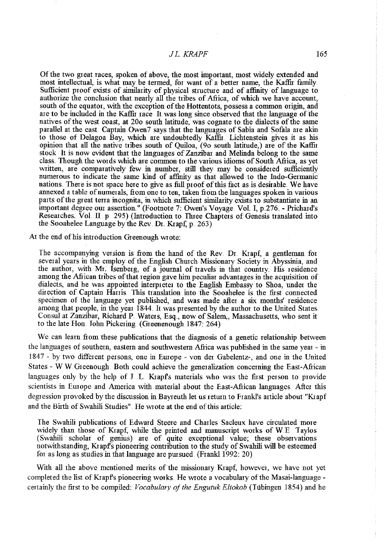### *JLKRAPF* 165

Of the two great races, spoken of above, the most important, most widely extended and most intellectual, is what may be termed, for want of a better name, the Kaffu family Sufficient proof exists of similarity of physical structure and of affinity of language to authorize the conclusion that nearly all the tribes of Africa, of which we have account, south of the equator, with the exception of the Hottentots, possess a common origin, and are to be included in the Kaffu race It was long since observed that the language of the natives of the west coast, at 20o south latitude, was cognate to the dialects of the same parallel at the east. Captain Owen7 says that the languages of Sabia and Sofala are akin to those of Delagoa Bay, which are undoubtedly Kaffu. Lichtenstein gives it as his opinion that all the native tiibes south of Quiloa, (9o south latitude,) are of the Kaffu stock It is now evident that the languages of Zanzibar and Melinda belong to the same class. Though the words which are common to the various idioms of South Africa, as yet written, are comparatively few in number, still they may be considered sufficiently numerous to indicate the same kind of affinity as that allowed to the Indo-Germanic nations. There is not space here to give as full proof of this fact as is desirable. We have annexed a table of numerals, from one to ten, taken from the languages spoken in various parts of the great terra incognita, in which sufficient similarity exists to substantiate in an important degree our assertion." (Footnote 7: Owen's Voyage. Vol. I, p.276. - Prichard's Researches. Vol. II p 295) (Introduction to Three Chapters of Genesis translated into the Sooahelee Language by the Rev. Dr. Krapf,  $p_{.}$  263)

At the end of his introduction Greenough wrote:

The accompanying version is from the hand of the Rev. Dr. Krapf, a gentleman for several years in the employ of the English Church Missionary Society in Abyssinia, and the author, with Mr. Isenberg, of a joumal of travels in that country His residence among the African tribes of that region gave him peculiar advantages in the acquisition of dialects, and he was appointed interpreter to the English Embassy to Shoa, under the direction of Captain Harris. This translation into ihe Sooahelee is the first connected specimen of the language yet published, and was made after a six months' residence among that people, in the year 1844. It was presented by the author to the United States Consul at Zanzibar, Richard P. Waters, Esq., now of Salem,, Massachusetts, who sent it to the late Hon John Pickering (Greenenough 1847: 264)

We can learn fiom these publications that the diagnosis of a genetic relationship between the languages of southern, eastern and southwestern Africa was published in the same year - in 1847- by two different persons, one in Europe- von der Gabelentz-, and one in the United States - W W Greenough. Both could achieve the generalization concerning the East-Afiican languages only by the help of J L Krapfs materials who was the first person to provide scientists in Europe and America with material about the East-African languages. After this degression provoked by the discussion in Bayreuth let us return to Frankl's article about "Krapf and the Birth of Swahili Studies". He wrote at the end of this article:

The Swahili publications of Edward Steere and Charles Sacleux have circulated more widely than those of Krapf, while the printed and manuscript works of W.E. Taylos (Swahili scholar of genius) are of quite exceptional value; these observations notwithstanding, Krapfs pioneering contribution to the study of Swahili will be esteemed for as long as studies in that language are pursued (Frankl 1992: 20)

With all the above mentioned merits of the missionary Krapf, however, we have not yet completed the list of Krapf's pioneering works. He wrote a vocabulary of the Masai-language certainly the first to be compiled: *Vocabulary of the Engutuk Eliokob* (Tiibingen 1854) and he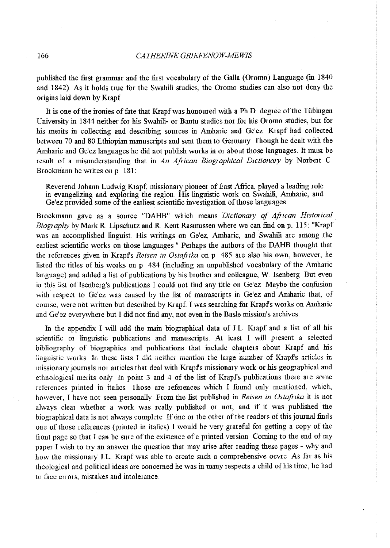published the fust grammar and the fust vocabulary of the Galla (Oromo) Language (in 1840 and 1842}. As it holds tme for the Swahili studies, the Oromo studies can also not deny the origins laid down by Krapf

It is one of the ironies of fate that Krapf was honoured with a Ph.D. degree of the Tübingen University in 1844 neither for his Swahili- or Bantu studies nor for his Oromo studies, but for his merits in collecting and describing somces in Amharic and Ge'ez Kiapf had collected between 70 and 80 Ethiopian manuscripts and sent them to Germany Though he dealt with the Amharic and Ge'ez languages he did not publish works in or about those languages. It must be result of a misunderstanding that in *An African Biographical Dictionary* by Norbert C Brockmann he writes on p 181:

Reverend Johann Ludwig K1apf, missionary pioneer of East Africa, played a leading role in evangelizing and exploring the region. His linguistic work on Swahili, Amharic, and Ge'ez provided some of the earliest scientific investigation of those languages.

Brockmann gave as a source "DAHB" which means *Dictionary of Aftican Historical Biography* by Mark R. Lipschutz and R. Kent Rasmussen where we can find on p. 115: "Krapf was an accomplished linguist His writings on Ge'ez, Amharic, and Swahili are among the earliest scientific works on those languages " Perhaps the authors of the DAHB thought that the references given in Kiapfs *Reisen in Ostajt1ka* on p. 485 are also his own, however, he listed the titles of his works on p. 484 (including an unpublished vocabulary of the Amharic language) and added a list of publications by his brother and colleague, W. Isenberg. But even in this list of Isenberg's publications I could not find any title on Ge'ez Maybe the confusion with respect to Ge'ez was caused by the list of manuscripts in Ge'ez and Amharic that, of course, were not written but described by Krapf. I was searching for Krapf's works on Amharic and Ge'ez everywhere but I did not find any, not even in the Basle mission's archives

In the appendix I will add the main biographical data of J.L Kiapf and a list of all his scientific or linguistic publications and manuscripts. At least I will present a selected bibliography of biographies and publications that include chapters about Kiapf and his linguistic works In these lists I did neither mention the large number of Krapf's articles in missionary journals nor articles that deal with Krapf's missionary work or his geographical and ethnological merits only In point 3 and 4 of the list of Kiapfs publications there are some references printed in italics. Those are references which I found only mentioned, which, however, I have not seen personally From the list published in *Reisen in Ostaftika* it is not always clear whether a work was really published or not, and if it was published the biographical data is not always complete. If one or the other of the readers of this journal finds one of those references (printed in italics) I would be very grateful for getting a copy of the fiont page so that I can be sure of the existence of a printed version Coming to the end of my paper I wish to try an answer the question that may arise after reading these pages - why and how the missionary JL Kiapf was able to create such a comprehensive oevre. As fin as his theological and political ideas are concerned he was in many respects a child of his time, he had to face enors, mistakes and intolerance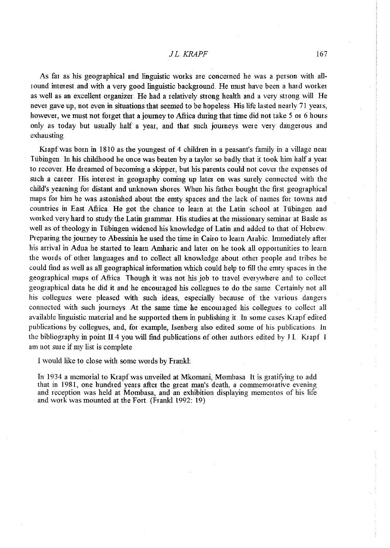#### *JLKRAPF* 167

As far as his geographical and linguistic works are concerned he was a person with allround interest and with a very good linguistic background. He must have been a hard worker as well as an excellent organizer.. He had a relatively strong health and a very strong will He never gave up, not even in situations that seemed to be hopeless. His life lasted nearly 71 years, however, we must not forget that a journey to Africa during that time did not take 5 or 6 hours only as today but usually half a year, and that such journeys were very dangerous and exhausting.

Krapfwas born in 1810 as the youngest of 4 chlldien in a peasant's family in a village near I iibingen. ln his chlldhood he once was beaten by a taylor so badly that it took him half a year to recover. He dreamed of becoming a skipper, but his parents could not cover the expenses of such a career. His interest in geography coming up later on was surely connected with the child's yearning for distant and unknown shores. When his father bought the first geographical maps for him he was astonished about the emty spaces and the lack of names for towns and countries in East Africa. He got the chance to learn at the Latin school at Tübingen and worked very hard to study the Latin grammar. His studies at the missionary seminar at Basle as well as of theology in Tiibingen widened his knowledge of Latin and added to that of Hebrew Preparing the journey to Abessinia he used the time in Cairo to learn Arabic. Immediately after his arrival in Adua he started to learn Arnharic and later on he took all opportunities to learn the words of other languages and to collect all knowledge about other people and tribes he could find as well as all geographical information which could help to fill the emty spaces in the geographical maps of Afiica Though it was not his job to travel everywhere and to collect geographical data he did it and he encouraged his collegues to do the same. Certainly not all his collegues were pleased with such ideas, especially because of the various dangers connected with such journeys At the same time he encouraged his collegues to collect all available linguistic material and he supported them in publishing it In some cases Krapf edited publications by collegues, and, for example, Isenberg also edited some of his publications In the bibliography in point Il4 you will find publications of other authors edited by J L Krapf I am not sure if my list is complete

I would like to close with some words by Frank!:

In 1934 a memorial to Krapf was unveiled at Mkomani, Mombasa It is gratifying to add that in 1981, one hundred years after the great man's death, a commemorative evening and reception was held at Mombasa, and an exhibition displaying mementos of his life and work was mounted at the Fort. (Frankl 1992: 19)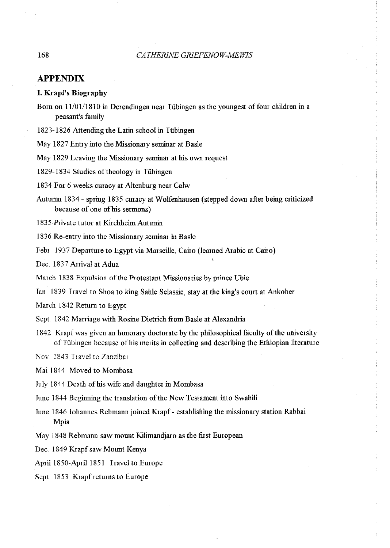## **APPENDIX**

### **I. Krapf's Biography**

- Born on  $11/01/1810$  in Derendingen near Tübingen as the youngest of four children in a peasant's family
- 1823-1826 Attending the Latin school in Tübingen
- May 1827 Entry into the Missionary seminar at Basle
- May 1829 Leaving the Missionary seminar at his own request

1829-1834 Studies of theology in Iiibingen

1834 For 6 weeks curacy at Altenburg near Calw

Autumn 1834- spring 1835 curacy at Wolfenhausen (stepped down after being criticized because of one of his sermons)

1835 Private tutor at Kirchheim Autumn

1836 Re-entry into the Missionary seminar in Basle

Febr 1937 Departure to Egypt via Marseille, Cairo (learned Arabic at Cairo)

Dec. 1837 Arrival at Adua

March 1838 Expulsion of the Protestant Missionaries by prince Ubie

Tan 1839 I ravel to Shoa to king Sable Selassie, stay at the king's court at Ankober

March 1842 Return to Egypt

Sept. 1842 Marriage with Rosine Dietrich from Basle at Alexandria

1842 Krapfwas given an honorary doctorate by the philosophical facnlty of the university of Tiibingen because ofhis merits in collecting and describing the Ethiopian literature

Nov. 1843 Travel to Zanzibar

Mai 1844 Moved to Mombasa

July 1844 Death of his wife and daughter in Mombasa

June 1844 Beginning the translation of the New Testament into Swahili

- June 1846 Johamres Rebmann joined Krapf- establishing the missionary station Rabbai Mpia
- May 1848 Rebmann saw mount Kilimandjaro as the first European

Dec. 1849 Krapf saw Mount Kenya

April 1850-April 1851 Travel to Europe

Sept. 1853 Krapf returns to Europe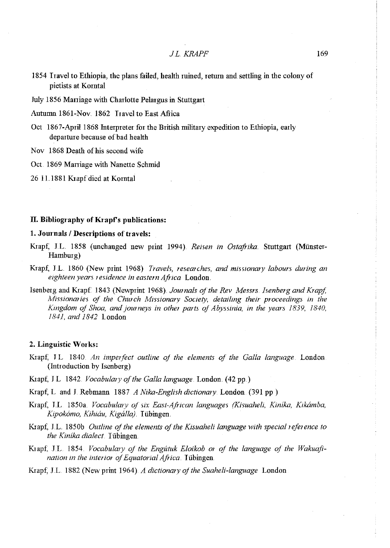1854 I ravel to Ethiopia, the plans failed, health ruined, return and settling in the colony of pietists at Korntal

Jnly 1856 Maniage with Charlotte Pelargus in Stuttgart

Autumn 1861-Nov. 1862 Travel to East Africa

Oct 1867-April 1868 Interpreter for the British military expedition to Ethiopia, early departure because of bad health

Nov 1868 Death of his second wife

Oct. 1869 Marriage with Nanette Schmid

26 11.1881 Krapf died at Korntal

#### II. Bibliography of Krapf's publications:

## 1. Journals / Descriptions of travels:

- Krapf; JL 1858 (unchanged new print 1994}. *Reisen in Ostaftika.* Stuttgart (Miinster-Hamburg)
- Krapf, J.L. 1860 (New print 1968) *Travels, researches, and missionary labours during an* eighteen years residence in eastern Africa London.
- Isenberg and Krapf. 1843 (Newprint 1968). *Journals of the Rev Messrs. Isenberg and Krapf*, *Missionaries of the Church Missionary Society, detailing their proceedings in the* Kingdom of Shoa, and journeys in other parts of Abyssinia, in the years 1839, 1840, *1841, and 1842* London

#### 2. Linguistic Works:

- Krapf; J L 1840. *An imperfect outline of the elements of the Galla language.* London (Introduction by Isenberg)
- Krapf; J.L. 1842. *Vocabulary of the Galla language*. London. (42 pp.)
- Krapf, L and J. Rebmann 1887 *A Nika-English dictionary.* London. (391 pp)
- Krapf, J.L. 1850a. *Vocabulary of six East-African languages (Kisuaheli, Kinika, Kikámba, Kipok6mo, Kihiau, Kigalla).* Itibingen.
- Krapf; JL l850b *Outline of the elements of the Kisuaheli language with special reference to the Kinika dialect*. Tübingen.
- Krapf, J.L. 1854. *Vocabulary of the Engutuk Eloikob or of the language of the Wakuafination in the interior of Equatorial Africa.* Tübingen.

Krapf; JL 1882 (New print 1964 ). *A dictionary of the Suaheli-language* London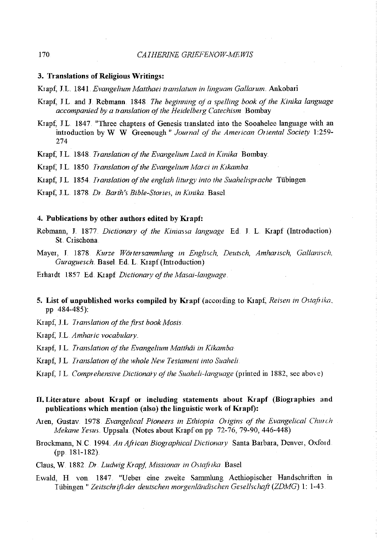#### 3. Translations of Religious Writings:

Ktapf, JL. 1841. *Evangelium Matthaei translatum in linguam Gallarum.* Ankobari

- Krapf, J L and J Rebmann. 1848 *The beginning of a spelling book of the Kinika language accompanied by a translation of the Heidelberg Catechism* Bombay
- Krapf, J.L. 1847. "Three chapters of Genesis translated into the Sooahelee language with an introduction by W W Greenough" *Journal of the American Oriental Society* 1:259- 274

Ktapf, l.L. 1848 *Translation of the Evangelium Luca in Kinika* Bombay

Ktapf, J.L 1850 *Translation of the Evangelium Marci in K1kamba.* 

Ktapf, J.L. 1854. *Translation of the english liturgy into the Suahelisprache* Tübingen.

Krapf, J.L. 1878. *Dr. Barth's Bible-Stories, in Kinika. Basel.* 

#### 4. Publications by other authors edited by Krapf:

Rebmann, J 1877.. *Dictionary of the Kiniassa language* Ed. J L Ktapf (Introduction) St. Crischona

Mayer, J. 1878. *Kurze Wörtersammlung in Englisch, Deutsch, Amharisch, Gallanisch, Guraguesch* Base!. Ed. L Ktapf(Introduction)

Erhardt 1857 Ed. Ktapf *D1ctionmy of the Masaz-language* 

5. List of unpublished works compiled by Krapf (according to Krapf, *Reisen in Ostafrika*, pp 484-485 ):

Krapf, J.L *Translation of the first book Mosis.* 

Krapf; J.L. *Amharic vocabulary* 

Krapf, J.L. *Translation of the Evangelium Matthäi in Kikamba* 

Krapf, J.L. *Iranslation of the whole New Testament into Suaheli*.

Krapf; J L. Comprehensive Dictionary of the Suaheli-language (printed in 1882, see above)

## II. Literature about Krapf or including statements about Krapf (Biographies and publications which mention (also) the linguistic work of Krapf):

- Aren, Gustav. 1978 *Evangelical Pioneers in Ethiopia. Origins of the Evangelical Chunh Mekane Ye sus.* Uppsala. (Notes about Ktapf on pp 72-76, 79-90, 446-448)
- Brockmann, N.C. 1994. *An African Biographical Dictionary* Santa Barbara, Denver, Oxford. (pp 181-182)

Claus, W. 1882. *Dr. Ludwig Krapf, Missionar in Ostafrika*. Basel.

Ewald, H von. 1847. "Ueber eine zweite Samrnlung Aethiopischer Handschriften in I tibingen " *Zeitschr ift.der deutschen morgenlandischen Gesellschaft (ZDMG)* 1: 1-43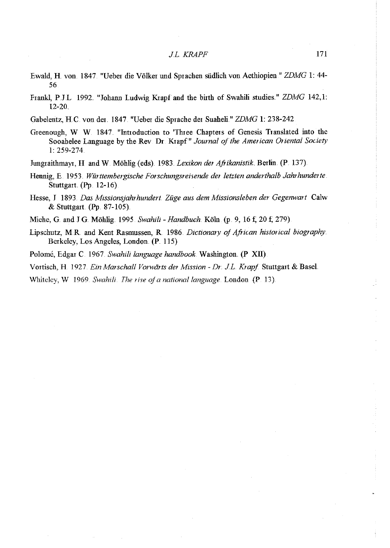- Ewald, H. von 1847. "Ueber die Völker und Sprachen südlich von Aethiopien " ZDMG 1: 44-56
- Frankl, P.J.L 1992. "Johann Ludwig Krapf and the birth of Swahili studies." *ZDMG* 142,1: 12-20
- Gabelentz, HC. von der. 1847. "Ueber die Sprache der Suaheli" *ZDMG* 1: 238-242
- Greenough, W W. 1847 "Introduction to 'Three Chapters of Genesis Translated into the Sooahelee Language by the Rev Dr Krapf" *Journal of the American Oriental Society*  1: 259-274
- Jungraithmayr, H and W. Möhlig (eds). 1983. *Lexikon der Afrikanistik*. Berlin. (P. 137).
- Hennig, E. 1953. *Wiirttembergische Fonschungsreisende der letzten anderthalb Jahrhunderte.*  Stuttgart.  $($ Pp. 12-16 $).$
- Hesse, J 1893. *Das Missionsjahrhundert. Ziige aus dem Missionsleben der Gegenwart* Calw & Stuttgart. (Pp. 87-105).
- Miehe, G. and J G. Miihlig. 1995 *Swahili- Handbuch.* Koln (p. 9, 16 *t;* 20 *t;* 279)
- Lipschutz, MR. and Kent Rasmussen, R. 1986 *Dictionary of African historical biography*  Berkeley, Los Angeles, London. (P. 115).
- Polome, Edgar C 1967. *Swahili language handbook* Washington. (P Xll)
- Vortisch, H 192 7 *Ein Marschall Vorwt'irts der Mission- Dr. JL Krapf* Stuttgart & Base!.
- **Whiteley, W** 1969. *Swahili. The rise of a national language*. **London (P** 13).